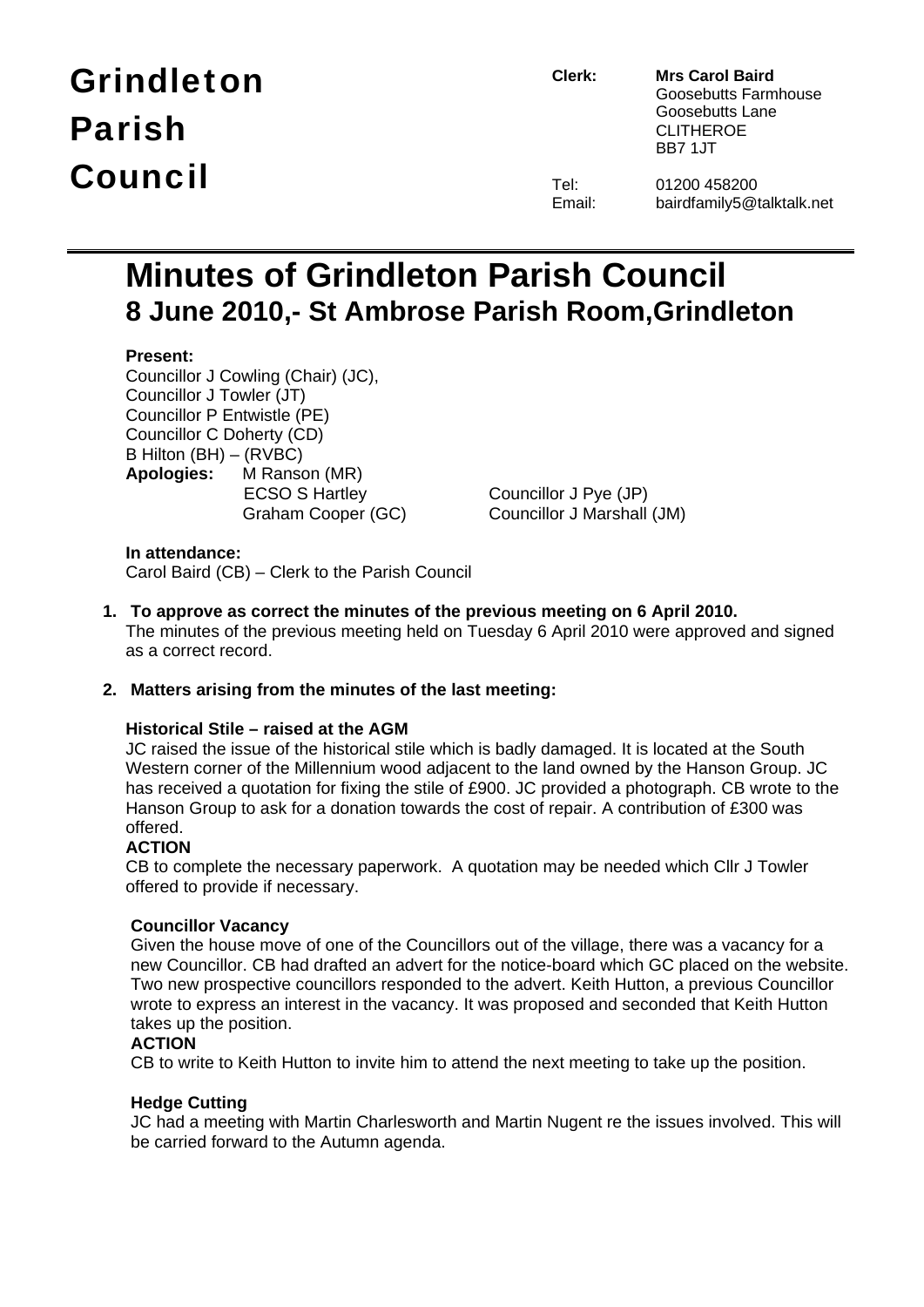# Grindleton Parish Council

**Clerk: Mrs Carol Baird** Goosebutts Farmhouse Goosebutts Lane CLITHEROE BB7 1JT

| el:    |  |
|--------|--|
| Email: |  |

01200 458200 bairdfamily5@talktalk.net

# **Minutes of Grindleton Parish Council 8 June 2010,- St Ambrose Parish Room,Grindleton**

# **Present:**

Councillor J Cowling (Chair) (JC), Councillor J Towler (JT) Councillor P Entwistle (PE) Councillor C Doherty (CD) B Hilton (BH) – (RVBC) **Apologies:** M Ranson (MR)

 ECSO S Hartley Councillor J Pye (JP) Graham Cooper (GC) Councillor J Marshall (JM)

# **In attendance:**

Carol Baird (CB) – Clerk to the Parish Council

**1. To approve as correct the minutes of the previous meeting on 6 April 2010.**  The minutes of the previous meeting held on Tuesday 6 April 2010 were approved and signed as a correct record.

# **2. Matters arising from the minutes of the last meeting:**

# **Historical Stile – raised at the AGM**

JC raised the issue of the historical stile which is badly damaged. It is located at the South Western corner of the Millennium wood adjacent to the land owned by the Hanson Group. JC has received a quotation for fixing the stile of £900. JC provided a photograph. CB wrote to the Hanson Group to ask for a donation towards the cost of repair. A contribution of £300 was offered.

# **ACTION**

CB to complete the necessary paperwork. A quotation may be needed which Cllr J Towler offered to provide if necessary.

# **Councillor Vacancy**

Given the house move of one of the Councillors out of the village, there was a vacancy for a new Councillor. CB had drafted an advert for the notice-board which GC placed on the website. Two new prospective councillors responded to the advert. Keith Hutton, a previous Councillor wrote to express an interest in the vacancy. It was proposed and seconded that Keith Hutton takes up the position.

# **ACTION**

CB to write to Keith Hutton to invite him to attend the next meeting to take up the position.

# **Hedge Cutting**

JC had a meeting with Martin Charlesworth and Martin Nugent re the issues involved. This will be carried forward to the Autumn agenda.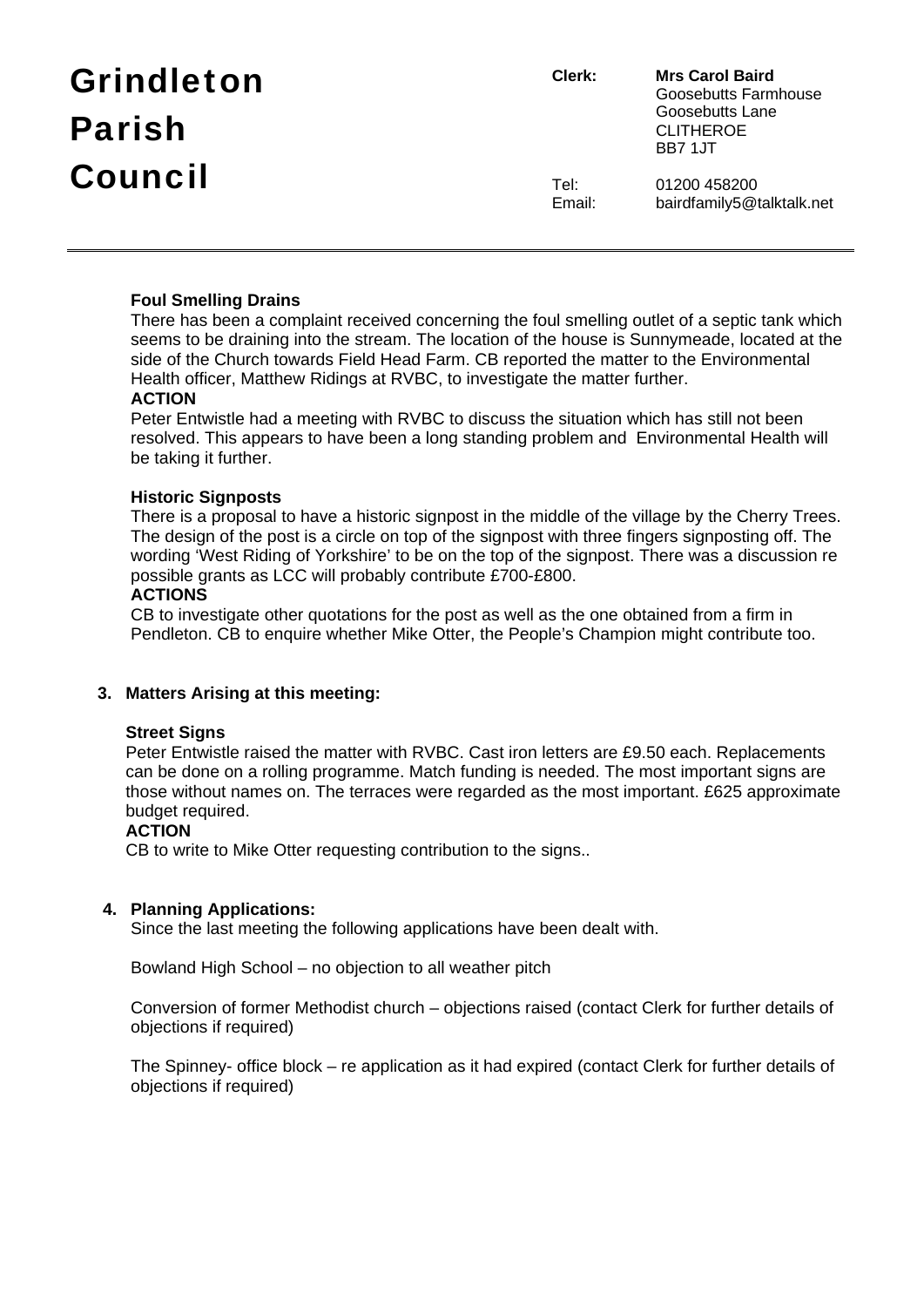| <b>Grindleton</b> | Clerk:         | <b>Mrs Carol Baird</b><br>Goosebutts Farmhouse         |
|-------------------|----------------|--------------------------------------------------------|
| <b>Parish</b>     |                | Goosebutts Lane<br><b>CLITHEROE</b><br><b>BB7 1.JT</b> |
| Council           | Tel:<br>Email: | 01200 458200<br>bairdfamily5@talktalk.net              |

# **Foul Smelling Drains**

There has been a complaint received concerning the foul smelling outlet of a septic tank which seems to be draining into the stream. The location of the house is Sunnymeade, located at the side of the Church towards Field Head Farm. CB reported the matter to the Environmental Health officer, Matthew Ridings at RVBC, to investigate the matter further.

# **ACTION**

Peter Entwistle had a meeting with RVBC to discuss the situation which has still not been resolved. This appears to have been a long standing problem and Environmental Health will be taking it further.

#### **Historic Signposts**

There is a proposal to have a historic signpost in the middle of the village by the Cherry Trees. The design of the post is a circle on top of the signpost with three fingers signposting off. The wording 'West Riding of Yorkshire' to be on the top of the signpost. There was a discussion re possible grants as LCC will probably contribute £700-£800.

#### **ACTIONS**

CB to investigate other quotations for the post as well as the one obtained from a firm in Pendleton. CB to enquire whether Mike Otter, the People's Champion might contribute too.

# **3. Matters Arising at this meeting:**

#### **Street Signs**

Peter Entwistle raised the matter with RVBC. Cast iron letters are £9.50 each. Replacements can be done on a rolling programme. Match funding is needed. The most important signs are those without names on. The terraces were regarded as the most important. £625 approximate budget required.

#### **ACTION**

CB to write to Mike Otter requesting contribution to the signs..

# **4. Planning Applications:**

Since the last meeting the following applications have been dealt with.

Bowland High School – no objection to all weather pitch

Conversion of former Methodist church – objections raised (contact Clerk for further details of objections if required)

The Spinney- office block – re application as it had expired (contact Clerk for further details of objections if required)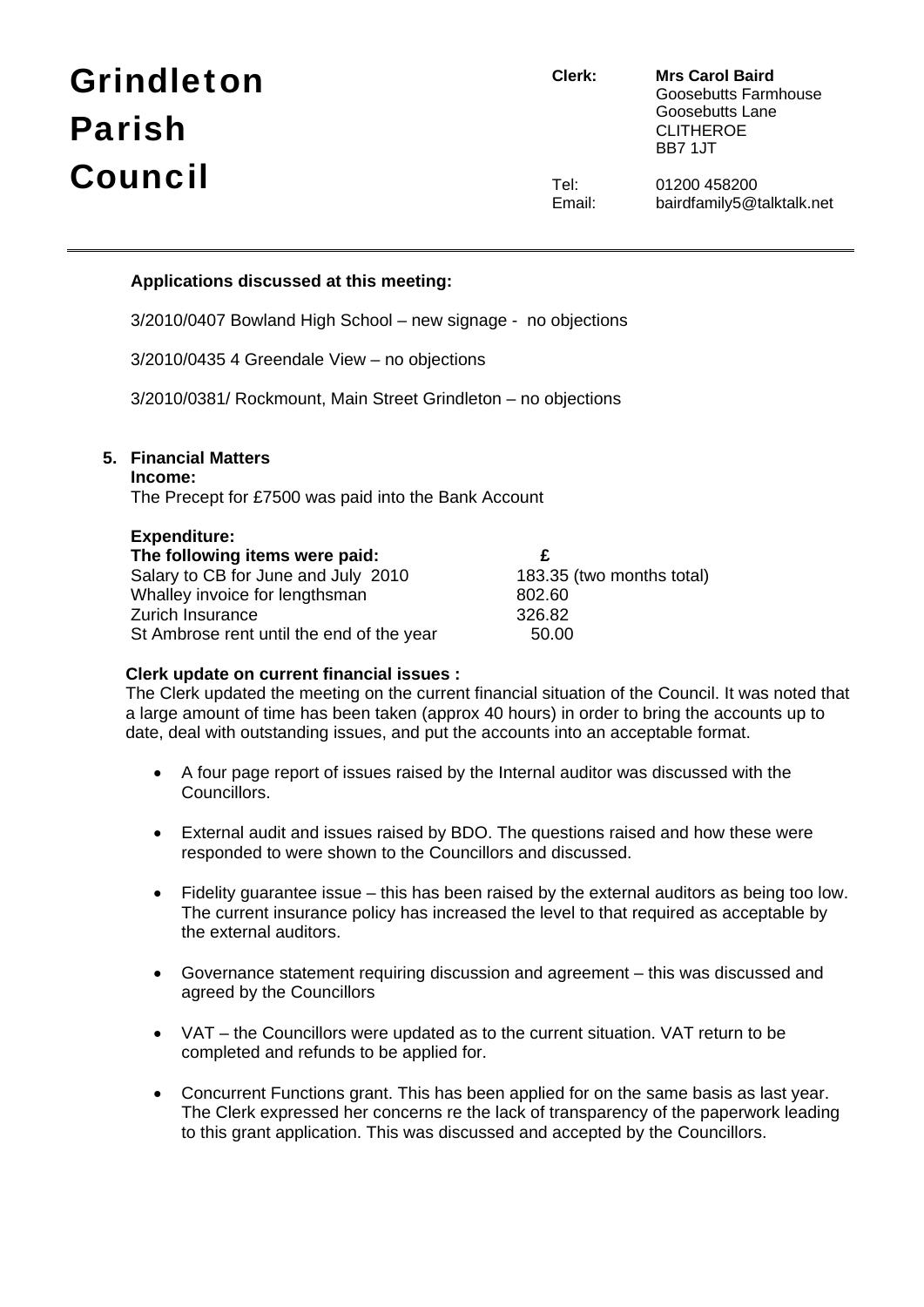# Grindleton Parish Council

**Clerk: Mrs Carol Baird** Goosebutts Farmhouse Goosebutts Lane CLITHEROE BB7 1JT

Tel: 01200 458200 Email: bairdfamily5@talktalk.net

# **Applications discussed at this meeting:**

3/2010/0407 Bowland High School – new signage - no objections

3/2010/0435 4 Greendale View – no objections

3/2010/0381/ Rockmount, Main Street Grindleton – no objections

# **5. Financial Matters**

#### **Income:**

The Precept for £7500 was paid into the Bank Account

| <b>Expenditure:</b> |
|---------------------|
|---------------------|

| $-200110101010$                           |                           |
|-------------------------------------------|---------------------------|
| The following items were paid:            |                           |
| Salary to CB for June and July 2010       | 183.35 (two months total) |
| Whalley invoice for lengthsman            | 802.60                    |
| Zurich Insurance                          | 326.82                    |
| St Ambrose rent until the end of the year | 50.00                     |

# **Clerk update on current financial issues :**

 The Clerk updated the meeting on the current financial situation of the Council. It was noted that a large amount of time has been taken (approx 40 hours) in order to bring the accounts up to date, deal with outstanding issues, and put the accounts into an acceptable format.

- A four page report of issues raised by the Internal auditor was discussed with the Councillors.
- External audit and issues raised by BDO. The questions raised and how these were responded to were shown to the Councillors and discussed.
- Fidelity guarantee issue this has been raised by the external auditors as being too low. The current insurance policy has increased the level to that required as acceptable by the external auditors.
- Governance statement requiring discussion and agreement this was discussed and agreed by the Councillors
- VAT the Councillors were updated as to the current situation. VAT return to be completed and refunds to be applied for.
- Concurrent Functions grant. This has been applied for on the same basis as last year. The Clerk expressed her concerns re the lack of transparency of the paperwork leading to this grant application. This was discussed and accepted by the Councillors.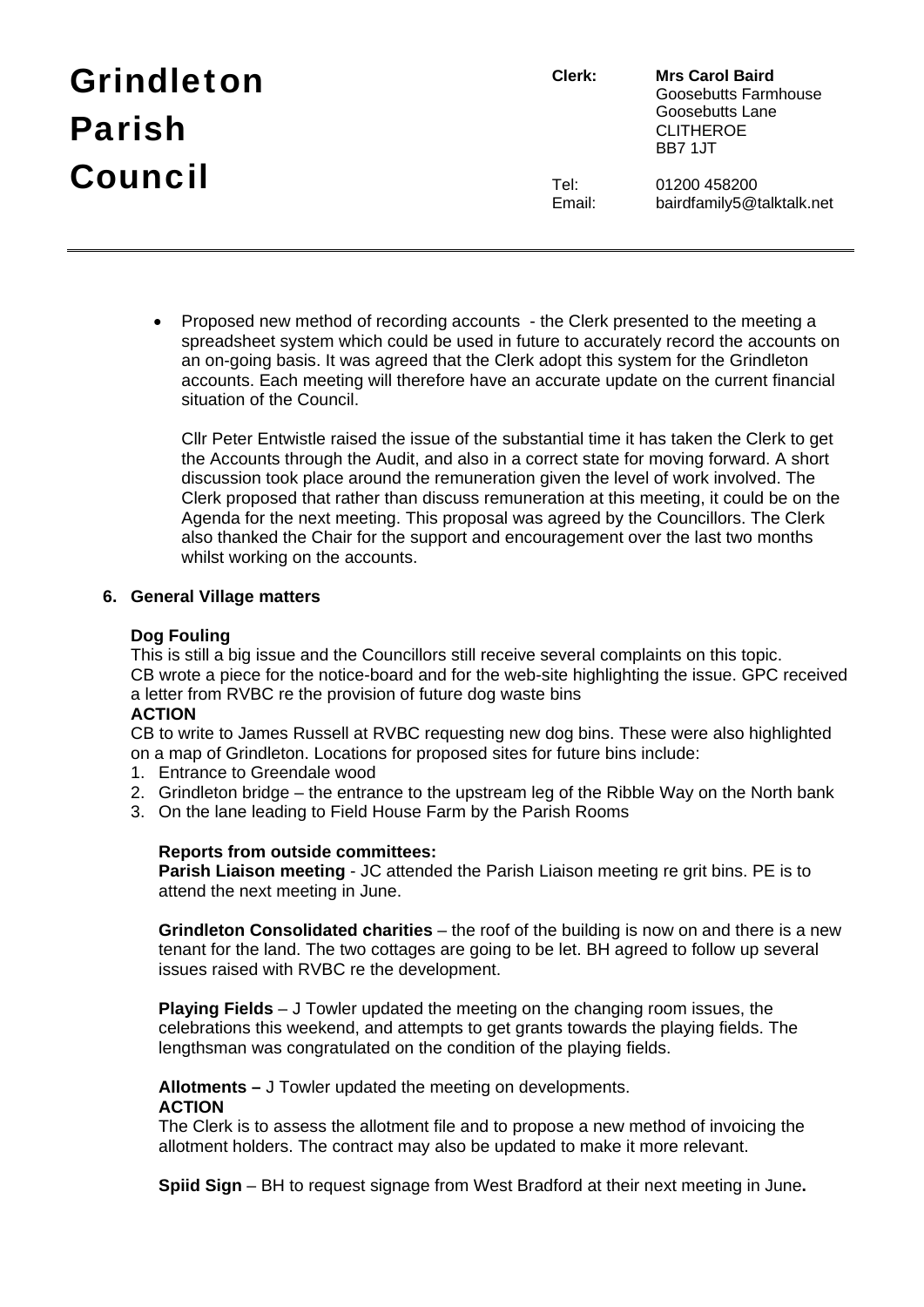| <b>Grindleton</b> | Clerk:         | <b>Mrs Carol Baird</b><br>Goosebutts Farmhouse |
|-------------------|----------------|------------------------------------------------|
| <b>Parish</b>     |                | Goosebutts Lane<br><b>CLITHEROE</b><br>BB7 1JT |
| Council           | Tel:<br>Email: | 01200 458200<br>bairdfamily5@talktalk.net      |

• Proposed new method of recording accounts - the Clerk presented to the meeting a spreadsheet system which could be used in future to accurately record the accounts on an on-going basis. It was agreed that the Clerk adopt this system for the Grindleton accounts. Each meeting will therefore have an accurate update on the current financial situation of the Council.

Cllr Peter Entwistle raised the issue of the substantial time it has taken the Clerk to get the Accounts through the Audit, and also in a correct state for moving forward. A short discussion took place around the remuneration given the level of work involved. The Clerk proposed that rather than discuss remuneration at this meeting, it could be on the Agenda for the next meeting. This proposal was agreed by the Councillors. The Clerk also thanked the Chair for the support and encouragement over the last two months whilst working on the accounts.

#### **6. General Village matters**

#### **Dog Fouling**

This is still a big issue and the Councillors still receive several complaints on this topic. CB wrote a piece for the notice-board and for the web-site highlighting the issue. GPC received a letter from RVBC re the provision of future dog waste bins

# **ACTION**

CB to write to James Russell at RVBC requesting new dog bins. These were also highlighted on a map of Grindleton. Locations for proposed sites for future bins include:

- 1. Entrance to Greendale wood
- 2. Grindleton bridge the entrance to the upstream leg of the Ribble Way on the North bank
- 3. On the lane leading to Field House Farm by the Parish Rooms

# **Reports from outside committees:**

**Parish Liaison meeting** - JC attended the Parish Liaison meeting re grit bins. PE is to attend the next meeting in June.

**Grindleton Consolidated charities** – the roof of the building is now on and there is a new tenant for the land. The two cottages are going to be let. BH agreed to follow up several issues raised with RVBC re the development.

**Playing Fields** – J Towler updated the meeting on the changing room issues, the celebrations this weekend, and attempts to get grants towards the playing fields. The lengthsman was congratulated on the condition of the playing fields.

**Allotments –** J Towler updated the meeting on developments.

# **ACTION**

The Clerk is to assess the allotment file and to propose a new method of invoicing the allotment holders. The contract may also be updated to make it more relevant.

**Spiid Sign** – BH to request signage from West Bradford at their next meeting in June**.**